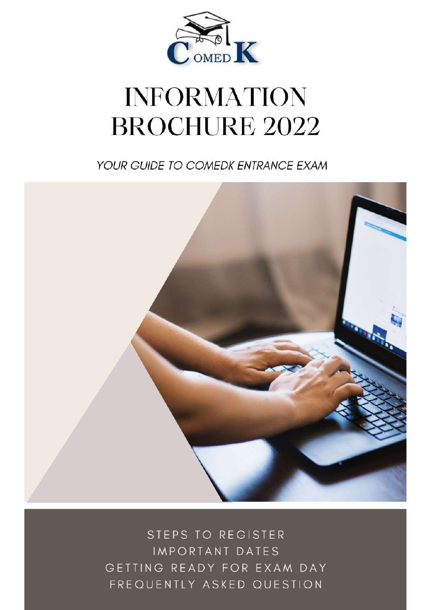

# **INFORMATION BROCHURE 2022**

YOUR GUIDE TO COMEDK ENTRANCE EXAM



STEPS TO REGISTER IMPORTANT DATES GETTING READY FOR EXAM DAY FREQUENTLY ASKED QUESTION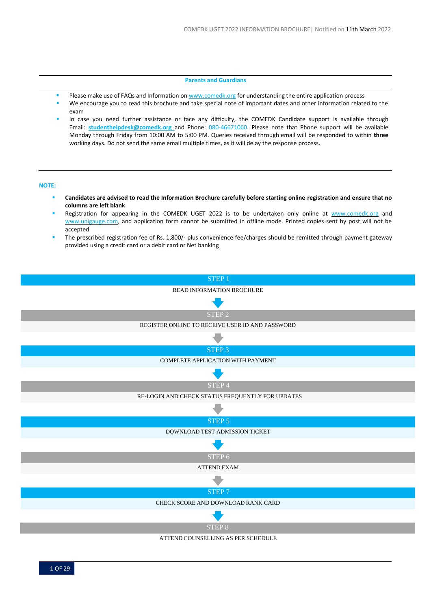#### **Parents and Guardians**

- Please make use of FAQs and Information on [www.comedk.org](http://www.comedk.org/) for understanding the entire application process
- We encourage you to read this brochure and take special note of important dates and other information related to the exam
- In case you need further assistance or face any difficulty, the COMEDK Candidate support is available through Email: **[studenthelpdesk@comedk.org](mailto:studenthelpdesk@comedk.organd)** and Phone: 080-46671060. Please note that Phone support will be available Monday through Friday from 10:00 AM to 5:00 PM. Queries received through email will be responded to within **three**  working days. Do not send the same email multiple times, as it will delay the response process.

## **NOTE:**

- **Candidates are advised to read the Information Brochure carefully before starting online registration and ensure that no columns are left blank**
- Registration for appearing in the COMEDK UGET 2022 is to be undertaken only online at [www.comedk.org](http://www.comedk.org/) and [www.unigauge.com,](http://www.unigauge.com/) and application form cannot be submitted in offline mode. Printed copies sent by post will not be accepted
- The prescribed registration fee of Rs. 1,800/- plus convenience fee/charges should be remitted through payment gateway provided using a credit card or a debit card or Net banking

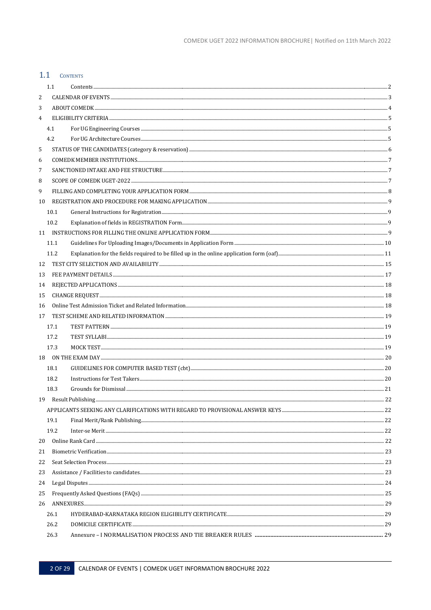# <span id="page-2-0"></span>1.1 CONTENTS

|                | $1.1\,$ |  |  |  |  |  |
|----------------|---------|--|--|--|--|--|
| 2              |         |  |  |  |  |  |
| 3              |         |  |  |  |  |  |
| $\overline{4}$ |         |  |  |  |  |  |
|                | 4.1     |  |  |  |  |  |
|                | 4.2     |  |  |  |  |  |
| 5              |         |  |  |  |  |  |
| 6              |         |  |  |  |  |  |
| 7              |         |  |  |  |  |  |
| 8              |         |  |  |  |  |  |
| 9              |         |  |  |  |  |  |
| 10             |         |  |  |  |  |  |
|                | 10.1    |  |  |  |  |  |
|                | 10.2    |  |  |  |  |  |
|                |         |  |  |  |  |  |
|                | 11.1    |  |  |  |  |  |
|                | 11.2    |  |  |  |  |  |
| 12             |         |  |  |  |  |  |
| 13             |         |  |  |  |  |  |
| 14             |         |  |  |  |  |  |
| 15             |         |  |  |  |  |  |
| 16             |         |  |  |  |  |  |
| 17             |         |  |  |  |  |  |
|                | 17.1    |  |  |  |  |  |
|                | 17.2    |  |  |  |  |  |
|                | 17.3    |  |  |  |  |  |
|                |         |  |  |  |  |  |
|                | 18.1    |  |  |  |  |  |
|                | 18.2    |  |  |  |  |  |
|                | 18.3    |  |  |  |  |  |
|                |         |  |  |  |  |  |
|                |         |  |  |  |  |  |
|                | 19.1    |  |  |  |  |  |
|                | 19.2    |  |  |  |  |  |
| 20             |         |  |  |  |  |  |
| 21             |         |  |  |  |  |  |
| 22             |         |  |  |  |  |  |
| 23             |         |  |  |  |  |  |
| 24             |         |  |  |  |  |  |
| 25             |         |  |  |  |  |  |
| 26             |         |  |  |  |  |  |
|                | 26.1    |  |  |  |  |  |
|                | 26.2    |  |  |  |  |  |
|                | 26.3    |  |  |  |  |  |
|                |         |  |  |  |  |  |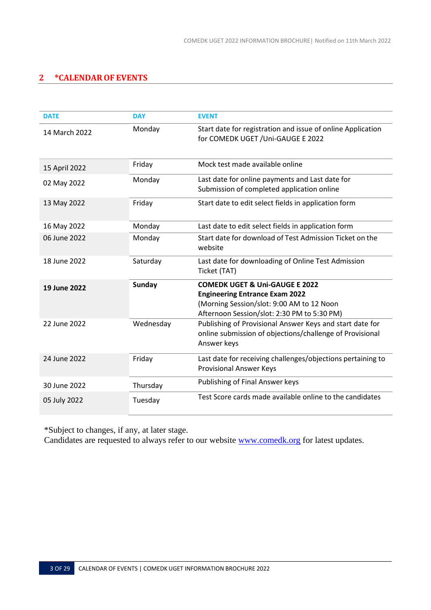# <span id="page-3-0"></span>**2 \*CALENDAROF EVENTS**

| <b>DATE</b>   | <b>DAY</b>    | <b>EVENT</b>                                                                                                                                                                   |
|---------------|---------------|--------------------------------------------------------------------------------------------------------------------------------------------------------------------------------|
| 14 March 2022 | Monday        | Start date for registration and issue of online Application<br>for COMEDK UGET / Uni-GAUGE E 2022                                                                              |
| 15 April 2022 | Friday        | Mock test made available online                                                                                                                                                |
| 02 May 2022   | Monday        | Last date for online payments and Last date for<br>Submission of completed application online                                                                                  |
| 13 May 2022   | Friday        | Start date to edit select fields in application form                                                                                                                           |
| 16 May 2022   | Monday        | Last date to edit select fields in application form                                                                                                                            |
| 06 June 2022  | Monday        | Start date for download of Test Admission Ticket on the<br>website                                                                                                             |
| 18 June 2022  | Saturday      | Last date for downloading of Online Test Admission<br>Ticket (TAT)                                                                                                             |
| 19 June 2022  | <b>Sunday</b> | <b>COMEDK UGET &amp; Uni-GAUGE E 2022</b><br><b>Engineering Entrance Exam 2022</b><br>(Morning Session/slot: 9:00 AM to 12 Noon<br>Afternoon Session/slot: 2:30 PM to 5:30 PM) |
| 22 June 2022  | Wednesday     | Publishing of Provisional Answer Keys and start date for<br>online submission of objections/challenge of Provisional<br>Answer keys                                            |
| 24 June 2022  | Friday        | Last date for receiving challenges/objections pertaining to<br><b>Provisional Answer Keys</b>                                                                                  |
| 30 June 2022  | Thursday      | Publishing of Final Answer keys                                                                                                                                                |
| 05 July 2022  | Tuesday       | Test Score cards made available online to the candidates                                                                                                                       |

\*Subject to changes, if any, at later stage.

Candidates are requested to always refer to our website **www.comedk.org** for latest updates.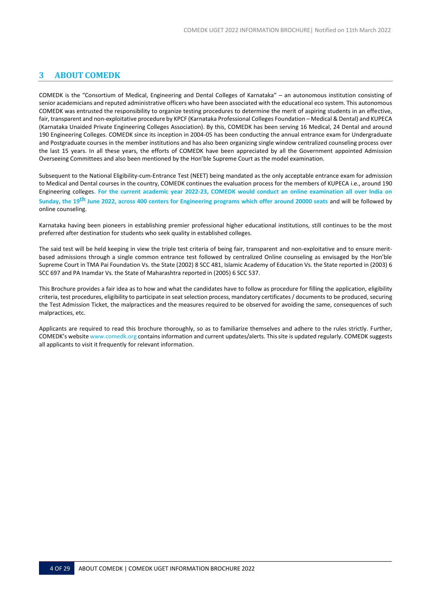# <span id="page-4-0"></span>**3 ABOUT COMEDK**

COMEDK is the "Consortium of Medical, Engineering and Dental Colleges of Karnataka" – an autonomous institution consisting of senior academicians and reputed administrative officers who have been associated with the educational eco system. This autonomous COMEDK was entrusted the responsibility to organize testing procedures to determine the merit of aspiring students in an effective, fair, transparent and non-exploitative procedure by KPCF (Karnataka Professional Colleges Foundation – Medical & Dental) and KUPECA (Karnataka Unaided Private Engineering Colleges Association). By this, COMEDK has been serving 16 Medical, 24 Dental and around 190 Engineering Colleges. COMEDK since its inception in 2004-05 has been conducting the annual entrance exam for Undergraduate and Postgraduate courses in the member institutions and has also been organizing single window centralized counseling process over the last 15 years. In all these years, the efforts of COMEDK have been appreciated by all the Government appointed Admission Overseeing Committees and also been mentioned by the Hon'ble Supreme Court as the model examination.

Subsequent to the National Eligibility-cum-Entrance Test (NEET) being mandated as the only acceptable entrance exam for admission to Medical and Dental courses in the country, COMEDK continues the evaluation process for the members of KUPECA i.e., around 190 Engineering colleges**. For the current academic year 2022-23, COMEDK would conduct an online examination all over India on Sunday, the 19th June 2022, across 400 centers for Engineering programs which offer around 20000 seats** and will be followed by online counseling.

Karnataka having been pioneers in establishing premier professional higher educational institutions, still continues to be the most preferred after destination for students who seek quality in established colleges.

The said test will be held keeping in view the triple test criteria of being fair, transparent and non-exploitative and to ensure meritbased admissions through a single common entrance test followed by centralized Online counseling as envisaged by the Hon'ble Supreme Court in TMA Pai Foundation Vs. the State (2002) 8 SCC 481, Islamic Academy of Education Vs. the State reported in (2003) 6 SCC 697 and PA Inamdar Vs. the State of Maharashtra reported in (2005) 6 SCC 537.

This Brochure provides a fair idea as to how and what the candidates have to follow as procedure for filling the application, eligibility criteria, test procedures, eligibility to participate in seat selection process, mandatory certificates/ documents to be produced, securing the Test Admission Ticket, the malpractices and the measures required to be observed for avoiding the same, consequences of such malpractices, etc.

Applicants are required to read this brochure thoroughly, so as to familiarize themselves and adhere to the rules strictly. Further, COMEDK's website [www.comedk.org](http://www.comedk.org/) contains information and current updates/alerts. Thissite is updated regularly. COMEDK suggests all applicants to visit it frequently for relevant information.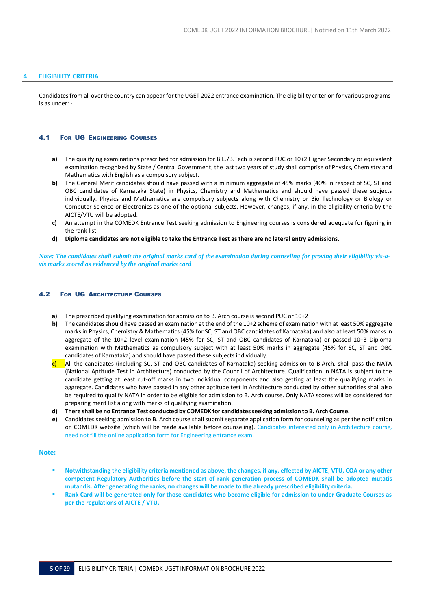## <span id="page-5-0"></span>**4 ELIGIBILITY CRITERIA**

Candidates from all over the country can appear for the UGET 2022 entrance examination. The eligibility criterion for various programs is as under: -

#### <span id="page-5-1"></span>4.1 FOR UG ENGINEERING COURSES

- **a)** The qualifying examinations prescribed for admission for B.E./B.Tech is second PUC or 10+2 Higher Secondary or equivalent examination recognized by State / Central Government; the last two years of study shall comprise of Physics, Chemistry and Mathematics with English as a compulsory subject.
- **b)** The General Merit candidates should have passed with a minimum aggregate of 45% marks (40% in respect of SC, ST and OBC candidates of Karnataka State) in Physics, Chemistry and Mathematics and should have passed these subjects individually. Physics and Mathematics are compulsory subjects along with Chemistry or Bio Technology or Biology or Computer Science or Electronics as one of the optional subjects. However, changes, if any, in the eligibility criteria by the AICTE/VTU will be adopted.
- **c)** An attempt in the COMEDK Entrance Test seeking admission to Engineering courses is considered adequate for figuring in the rank list.
- d) Diploma candidates are not eligible to take the Entrance Test as there are no lateral entry admissions.

Note: The candidates shall submit the original marks card of the examination during counseling for proving their eligibility vis-a*vis marks scored as evidenced by the original marks card*

#### <span id="page-5-2"></span>4.2 FOR UG ARCHITECTURE COURSES

- **a)** The prescribed qualifying examination for admission to B. Arch course is second PUC or 10+2
- **b)** The candidates should have passed an examination at the end of the 10+2 scheme of examination with at least 50% aggregate marksin Physics, Chemistry & Mathematics (45% for SC, ST and OBC candidates of Karnataka) and also at least 50% marks in aggregate of the 10+2 level examination (45% for SC, ST and OBC candidates of Karnataka) or passed 10+3 Diploma examination with Mathematics as compulsory subject with at least 50% marks in aggregate (45% for SC, ST and OBC candidates of Karnataka) and should have passed these subjects individually.
- **c)** All the candidates (including SC, ST and OBC candidates of Karnataka) seeking admission to B.Arch. shall pass the NATA (National Aptitude Test in Architecture) conducted by the Council of Architecture. Qualification in NATA is subject to the candidate getting at least cut-off marks in two individual components and also getting at least the qualifying marks in aggregate. Candidates who have passed in any other aptitude test in Architecture conducted by other authorities shall also be required to qualify NATA in order to be eligible for admission to B. Arch course. Only NATA scores will be considered for preparing merit list along with marks of qualifying examination.
- **d) There shall be no Entrance Test conducted by COMEDK for candidatesseeking admission to B. Arch Course.**
- **e)** Candidates seeking admission to B. Arch course shall submit separate application form for counseling as per the notification on COMEDK website (which will be made available before counseling). Candidates interested only in Architecture course, need not fill the online application form for Engineering entrance exam.

#### **Note:**

- Notwithstanding the eligibility criteria mentioned as above, the changes, if any, effected by AICTE, VTU, COA or any other **competent Regulatory Authorities before the start of rank generation process of COMEDK shall be adopted mutatis mutandis. After generating the ranks, no changes will be made to the already prescribed eligibility criteria.**
- Rank Card will be generated only for those candidates who become eligible for admission to under Graduate Courses as **per the regulations of AICTE / VTU.**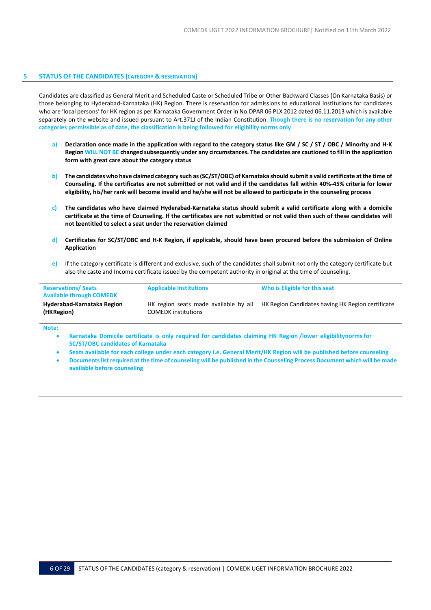#### <span id="page-6-0"></span>**5 STATUS OF THE CANDIDATES (CATEGORY & RESERVATION)**

Candidates are classified as General Merit and Scheduled Caste or Scheduled Tribe or Other Backward Classes (On Karnataka Basis) or those belonging to Hyderabad-Karnataka (HK) Region. There is reservation for admissions to educational institutions for candidates who are 'local persons' for HK region as per Karnataka Government Order in No.DPAR 06 PLX 2012 dated 06.11.2013 which is available separately on the website and issued pursuant to Art.371J of the Indian Constitution. **Though there is no reservation for any other categories permissible as of date, the classification is being followed for eligibility norms only**.

- **a) Declaration once made in the application with regard to the category status like GM / SC / ST / OBC / Minority and H-K** Region WILL NOT BE changed subsequently under any circumstances. The candidates are cautioned to fill in the application **form with great care about the category status**
- b) The candidates who have claimed category such as (SC/ST/OBC) of Karnataka should submit a valid certificate at the time of Counseling. If the certificates are not submitted or not valid and if the candidates fall within 40%-45% criteria for lower eligibility, his/her rank will become invalid and he/she will not be allowed to participate in the counseling process
- **c) The candidates who have claimed Hyderabad-Karnataka status should submit a valid certificate along with a domicile certificate at the time of Counseling. If the certificates are not submitted or not valid then such of these candidates will not beentitled to select a seat under the reservation claimed**
- **d) Certificates for SC/ST/OBC and H-K Region, if applicable, should have been procured before the submission of Online Application**
- **e)** If the category certificate is different and exclusive, such of the candidates shall submit not only the category certificate but also the caste and Income certificate issued by the competent authority in original at the time of counseling.

| <b>Reservations/Seats</b><br><b>Available through COMEDK</b> | <b>Applicable Institutions</b>                                      | Who is Eligible for this seat                     |
|--------------------------------------------------------------|---------------------------------------------------------------------|---------------------------------------------------|
| Hyderabad-Karnataka Region<br>(HKRegion)                     | HK region seats made available by all<br><b>COMEDK</b> institutions | HK Region Candidates having HK Region certificate |

**Note:**

- **Karnataka Domicile certificate is only required for candidates claiming HK Region /lower eligibilitynorms for SC/ST/OBC candidates of Karnataka**
- Seats available for each college under each category i.e. General Merit/HK Region will be published before counseling
- Documents list required at the time of counseling will be published in the Counseling Process Document which will be made **available before counseling**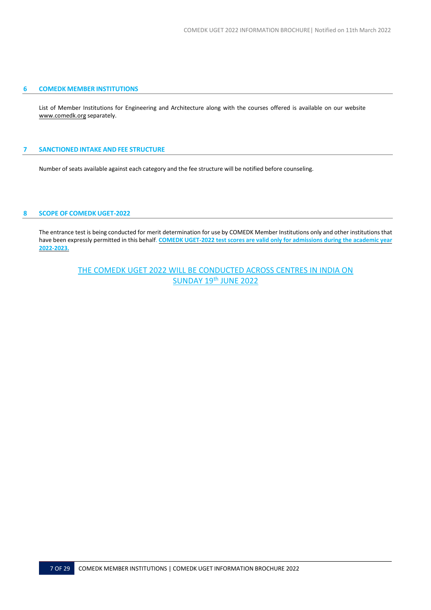## <span id="page-7-0"></span>**6 COMEDK MEMBER INSTITUTIONS**

List of Member Institutions for Engineering and Architecture along with the courses offered is available on our website [www.comedk.org](http://www.comedk.org/) separately.

## <span id="page-7-1"></span>**7 SANCTIONED INTAKE AND FEE STRUCTURE**

Number of seats available against each category and the fee structure will be notified before counseling.

## <span id="page-7-2"></span>**8 SCOPE OF COMEDK UGET-2022**

The entrance test is being conducted for merit determination for use by COMEDK Member Institutions only and other institutions that have been expressly permitted in this behalf. **COMEDK UGET-2022 test scores are valid only for admissions during the academic year 2022-2023.**

> THE COMEDK UGET 2022 WILL BE CONDUCTED ACROSS CENTRES IN INDIA ON SUNDAY 19<sup>th</sup> JUNE 2022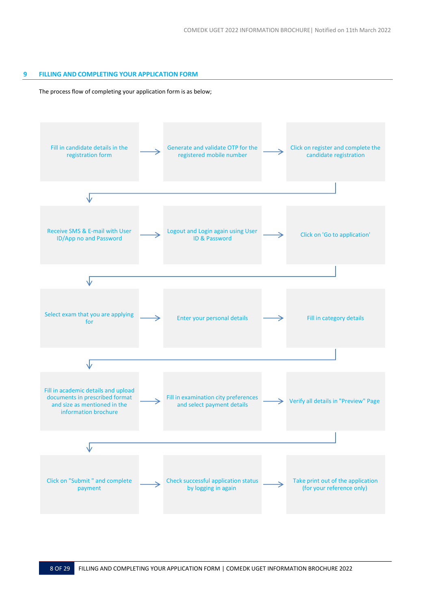## <span id="page-8-0"></span>**9 FILLING AND COMPLETING YOUR APPLICATION FORM**

## The process flow of completing your application form is as below;

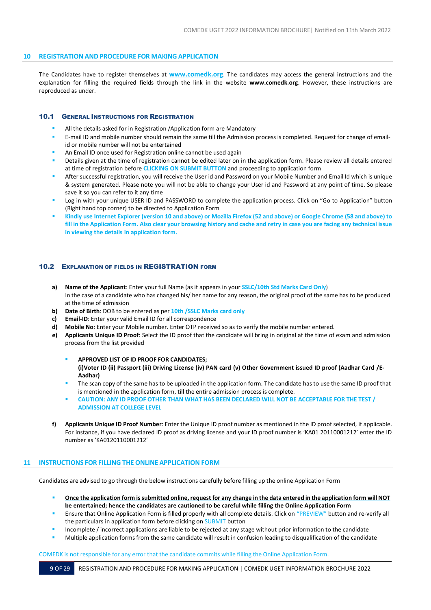## <span id="page-9-0"></span>**10 REGISTRATION AND PROCEDURE FOR MAKING APPLICATION**

The Candidates have to register themselves at **[www.comedk.org](http://www.comedk.org/)**. The candidates may access the general instructions and the explanation for filling the required fields through the link in the website **[www.comedk.org](http://www.comedk.org/)**. However, these instructions are reproduced as under.

## <span id="page-9-1"></span>10.1 GENERAL INSTRUCTIONS FOR REGISTRATION

- All the details asked for in Registration /Application form are Mandatory
- E-mail ID and mobile number should remain the same till the Admission process is completed. Request for change of emailid or mobile number will not be entertained
- An Email ID once used for Registration online cannot be used again
- Details given at the time of registration cannot be edited later on in the application form. Please review all details entered at time of registration before **CLICKING ON SUBMIT BUTTON** and proceeding to application form
- After successful registration, you will receive the User id and Password on your Mobile Number and Email Id which is unique & system generated. Please note you will not be able to change your User id and Password at any point of time. So please save it so you can refer to it any time
- Log in with your unique USER ID and PASSWORD to complete the application process. Click on "Go to Application" button (Right hand top corner) to be directed to Application Form
- Kindly use Internet Explorer (version 10 and above) or Mozilla Firefox (52 and above) or Google Chrome (58 and above) to fill in the Application Form. Also clear your browsing history and cache and retry in case you are facing any technical issue **in viewing the details in application form.**

## <span id="page-9-2"></span>10.2 EXPLANATION OF FIELDS IN REGISTRATION FORM

- **a) Name of the Applicant**: Enter your full Name (as it appears in your **SSLC/10th Std Marks Card Only**) In the case of a candidate who has changed his/ her name for any reason, the original proof of the same has to be produced at the time of admission
- **b) Date of Birth**: DOB to be entered as per **10th /SSLC Marks card only**
- **c) Email-ID**: Enter your valid Email ID for all correspondence
- **d) Mobile No**: Enter your Mobile number. Enter OTP received so as to verify the mobile number entered.
- **e) Applicants Unique ID Proof**: Select the ID proof that the candidate will bring in original at the time of exam and admission process from the list provided
	- **APPROVED LIST OF ID PROOF FOR CANDIDATES;** (i)Voter ID (ii) Passport (iii) Driving License (iv) PAN card (v) Other Government issued ID proof (Aadhar Card /E-**Aadhar)**
	- The scan copy of the same has to be uploaded in the application form. The candidate has to use the same ID proof that is mentioned in the application form, till the entire admission process is complete.
	- **CAUTION: ANY ID PROOF OTHER THAN WHAT HAS BEEN DECLARED WILL NOT BE ACCEPTABLE FOR THE TEST / ADMISSION AT COLLEGE LEVEL**
- **f) Applicants Unique ID Proof Number**: Enter the Unique ID proof number as mentioned in the ID proof selected, if applicable. For instance, if you have declared ID proof as driving license and your ID proof number is 'KA01 20110001212' enter the ID number as 'KA0120110001212'

## <span id="page-9-3"></span>**11 INSTRUCTIONS FOR FILLING THE ONLINE APPLICATION FORM**

Candidates are advised to go through the below instructions carefully before filling up the online Application Form

- Once the application form is submitted online, request for any change in the data entered in the application form will NOT **be entertained; hence the candidates are cautioned to be careful while filling the Online Application Form**
- Ensure that Online Application Form is filled properly with all complete details. Click on "PREVIEW" button and re-verify all the particulars in application form before clicking on SUBMIT button
- Incomplete / incorrect applications are liable to be rejected at any stage without prior information to the candidate
- Multiple application forms from the same candidate will result in confusion leading to disqualification of the candidate

## COMEDK is not responsible for any error that the candidate commits while filling the Online Application Form.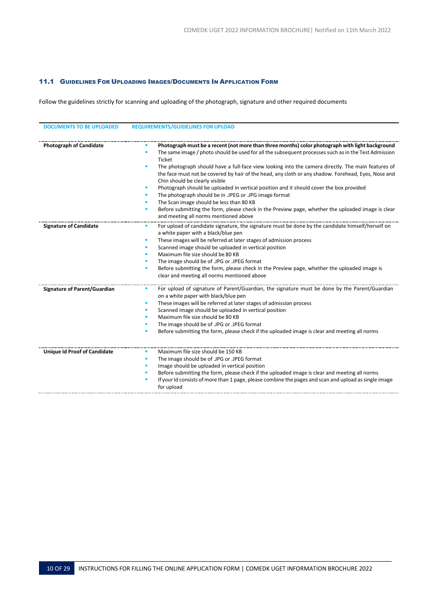## <span id="page-10-0"></span>11.1 GUIDELINES FOR UPLOADING IMAGES/DOCUMENTS IN APPLICATION FORM

Follow the guidelines strictly for scanning and uploading of the photograph, signature and other required documents

| <b>DOCUMENTS TO BE UPLOADED</b>     | <b>REQUIREMENTS/GUIDELINES FOR UPLOAD</b>                                                                                                                                                                                                                                                                                                                                                                                                                                                                                                                                                                                                                                                                                                                                                                                                     |
|-------------------------------------|-----------------------------------------------------------------------------------------------------------------------------------------------------------------------------------------------------------------------------------------------------------------------------------------------------------------------------------------------------------------------------------------------------------------------------------------------------------------------------------------------------------------------------------------------------------------------------------------------------------------------------------------------------------------------------------------------------------------------------------------------------------------------------------------------------------------------------------------------|
|                                     |                                                                                                                                                                                                                                                                                                                                                                                                                                                                                                                                                                                                                                                                                                                                                                                                                                               |
| <b>Photograph of Candidate</b>      | Photograph must be a recent (not more than three months) color photograph with light background<br>The same image / photo should be used for all the subsequent processes such as in the Test Admission<br>٠<br>Ticket<br>The photograph should have a full-face view looking into the camera directly. The main features of<br>٠<br>the face must not be covered by hair of the head, any cloth or any shadow. Forehead, Eyes, Nose and<br>Chin should be clearly visible<br>Photograph should be uploaded in vertical position and it should cover the box provided<br>٠<br>The photograph should be in .JPEG or .JPG image format<br>ш<br>The Scan image should be less than 80 KB<br>٠<br>Before submitting the form, please check in the Preview page, whether the uploaded image is clear<br>٠<br>and meeting all norms mentioned above |
| <b>Signature of Candidate</b>       | For upload of candidate signature, the signature must be done by the candidate himself/herself on<br>a white paper with a black/blue pen<br>These images will be referred at later stages of admission process<br>ш<br>Scanned image should be uploaded in vertical position<br>Maximum file size should be 80 KB<br>The image should be of .JPG or .JPEG format<br>Before submitting the form, please check in the Preview page, whether the uploaded image is<br>٠<br>clear and meeting all norms mentioned above                                                                                                                                                                                                                                                                                                                           |
| <b>Signature of Parent/Guardian</b> | For upload of signature of Parent/Guardian, the signature must be done by the Parent/Guardian<br>on a white paper with black/blue pen<br>These images will be referred at later stages of admission process<br>۰<br>Scanned image should be uploaded in vertical position<br>٠<br>Maximum file size should be 80 KB<br>The image should be of .JPG or .JPEG format<br>Before submitting the form, please check if the uploaded image is clear and meeting all norms                                                                                                                                                                                                                                                                                                                                                                           |
| <b>Unique Id Proof of Candidate</b> | Maximum file size should be 150 KB<br>The image should be of .JPG or .JPEG format<br>٠<br>Image should be uploaded in vertical position<br>Before submitting the form, please check if the uploaded image is clear and meeting all norms<br>If your Id consists of more than 1 page, please combine the pages and scan and upload as single image<br>for upload                                                                                                                                                                                                                                                                                                                                                                                                                                                                               |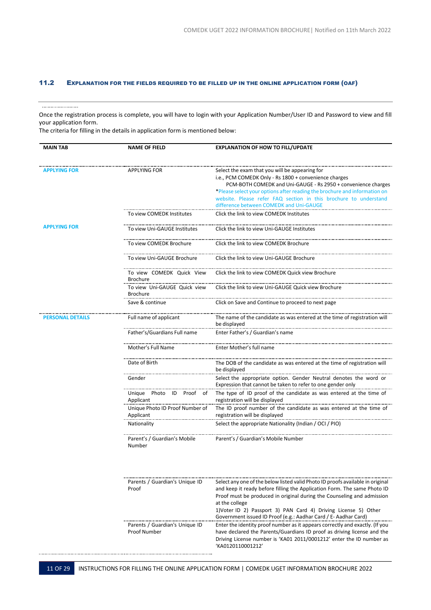# <span id="page-11-0"></span>11.2 EXPLANATION FOR THE FIELDS REQUIRED TO BE FILLED UP IN THE ONLINE APPLICATION FORM (OAF)

#### .......................

Once the registration process is complete, you will have to login with your Application Number/User ID and Password to view and fill your application form.

The criteria for filling in the details in application form is mentioned below:

| <b>MAIN TAB</b>         | <b>NAME OF FIELD</b>                                  | <b>EXPLANATION OF HOW TO FILL/UPDATE</b>                                                                                                                                                                                                               |
|-------------------------|-------------------------------------------------------|--------------------------------------------------------------------------------------------------------------------------------------------------------------------------------------------------------------------------------------------------------|
| APPLYING FOR            | <b>APPLYING FOR</b>                                   | Select the exam that you will be appearing for<br>i.e., PCM COMEDK Only - Rs 1800 + convenience charges<br>PCM-BOTH COMEDK and Uni-GAUGE - Rs 2950 + convenience charges<br>*Please select your options after reading the brochure and information on  |
|                         |                                                       | website. Please refer FAQ section in this brochure to understand<br>difference between COMEDK and Uni-GAUGE                                                                                                                                            |
|                         | To view COMEDK Institutes                             | Click the link to view COMEDK Institutes                                                                                                                                                                                                               |
| <b>APPLYING FOR</b>     | To view Uni-GAUGE Institutes                          | Click the link to view Uni-GAUGE Institutes                                                                                                                                                                                                            |
|                         | To view COMEDK Brochure                               | Click the link to view COMEDK Brochure                                                                                                                                                                                                                 |
|                         | To view Uni-GAUGE Brochure                            | Click the link to view Uni-GAUGE Brochure                                                                                                                                                                                                              |
|                         | To view COMEDK Quick View<br><b>Brochure</b>          | Click the link to view COMEDK Quick view Brochure                                                                                                                                                                                                      |
|                         | To view Uni-GAUGE Quick view<br><b>Brochure</b>       | Click the link to view Uni-GAUGE Quick view Brochure                                                                                                                                                                                                   |
|                         | Save & continue                                       | Click on Save and Continue to proceed to next page                                                                                                                                                                                                     |
| <b>PERSONAL DETAILS</b> | Full name of applicant                                | The name of the candidate as was entered at the time of registration will<br>be displayed                                                                                                                                                              |
|                         | Father's/Guardians Full name                          | Enter Father's / Guardian's name                                                                                                                                                                                                                       |
|                         | Mother's Full Name                                    | Enter Mother's full name                                                                                                                                                                                                                               |
|                         | Date of Birth                                         | The DOB of the candidate as was entered at the time of registration will<br>be displayed                                                                                                                                                               |
|                         | Gender                                                | Select the appropriate option. Gender Neutral denotes the word or<br>Expression that cannot be taken to refer to one gender only                                                                                                                       |
|                         | Unique Photo ID Proof of<br>Applicant                 | The type of ID proof of the candidate as was entered at the time of<br>registration will be displayed                                                                                                                                                  |
|                         | Unique Photo ID Proof Number of<br>Applicant          | The ID proof number of the candidate as was entered at the time of<br>registration will be displayed                                                                                                                                                   |
|                         | Nationality                                           | Select the appropriate Nationality (Indian / OCI / PIO)                                                                                                                                                                                                |
|                         | Parent's / Guardian's Mobile<br>Number                | Parent's / Guardian's Mobile Number                                                                                                                                                                                                                    |
|                         |                                                       |                                                                                                                                                                                                                                                        |
|                         | Parents / Guardian's Unique ID<br>Proof               | Select any one of the below listed valid Photo ID proofs available in original<br>and keep it ready before filling the Application Form. The same Photo ID<br>Proof must be produced in original during the Counseling and admission<br>at the college |
|                         |                                                       | 1)Voter ID 2) Passport 3) PAN Card 4) Driving License 5) Other<br>Government issued ID Proof (e.g.: Aadhar Card / E- Aadhar Card)                                                                                                                      |
|                         | Parents / Guardian's Unique ID<br><b>Proof Number</b> | Enter the identity proof number as it appears correctly and exactly. (If you<br>have declared the Parents/Guardians ID proof as driving license and the<br>Driving License number is 'KA01 2011/0001212' enter the ID number as<br>'KA0120110001212'   |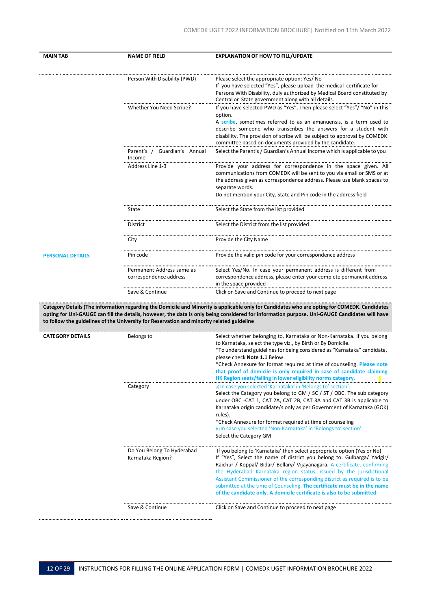| <b>MAIN TAB</b>                     | <b>NAME OF FIELD</b>                                                                      | <b>EXPLANATION OF HOW TO FILL/UPDATE</b>                                                                                                                            |
|-------------------------------------|-------------------------------------------------------------------------------------------|---------------------------------------------------------------------------------------------------------------------------------------------------------------------|
|                                     |                                                                                           |                                                                                                                                                                     |
|                                     | Person With Disability (PWD)                                                              | Please select the appropriate option: Yes/No<br>If you have selected "Yes", please upload the medical certificate for                                               |
|                                     |                                                                                           | Persons With Disability, duly authorized by Medical Board constituted by                                                                                            |
|                                     |                                                                                           | Central or State government along with all details.                                                                                                                 |
|                                     | Whether You Need Scribe?                                                                  | If you have selected PWD as "Yes", Then please select "Yes"/ "No" in this<br>option.                                                                                |
|                                     |                                                                                           | A scribe, sometimes referred to as an amanuensis, is a term used to                                                                                                 |
|                                     |                                                                                           | describe someone who transcribes the answers for a student with                                                                                                     |
|                                     |                                                                                           | disability. The provision of scribe will be subject to approval by COMEDK<br>committee based on documents provided by the candidate.                                |
|                                     | Parent's / Guardian's Annual<br>Income                                                    | Select the Parent's / Guardian's Annual Income which is applicable to you                                                                                           |
|                                     | Address Line 1-3                                                                          | Provide your address for correspondence in the space given. All                                                                                                     |
|                                     |                                                                                           | communications from COMEDK will be sent to you via email or SMS or at<br>the address given as correspondence address. Please use blank spaces to<br>separate words. |
|                                     |                                                                                           | Do not mention your City, State and Pin code in the address field                                                                                                   |
|                                     | State                                                                                     | Select the State from the list provided                                                                                                                             |
|                                     | District                                                                                  | Select the District from the list provided                                                                                                                          |
|                                     | City                                                                                      | Provide the City Name                                                                                                                                               |
| Pin code<br><b>PERSONAL DETAILS</b> |                                                                                           | Provide the valid pin code for your correspondence address                                                                                                          |
|                                     | Permanent Address same as                                                                 | Select Yes/No. In case your permanent address is different from                                                                                                     |
|                                     | correspondence address                                                                    | correspondence address, please enter your complete permanent address<br>in the space provided                                                                       |
|                                     | Save & Continue                                                                           | Click on Save and Continue to proceed to next page                                                                                                                  |
|                                     |                                                                                           | Category Details (The information regarding the Domicile and Minority is applicable only for Candidates who are opting for COMEDK. Candidates                       |
|                                     | to follow the guidelines of the University for Reservation and minority related guideline | opting for Uni-GAUGE can fill the details, however, the data is only being considered for information purpose. Uni-GAUGE Candidates will have                       |
| <b>CATEGORY DETAILS</b>             | Belongs to                                                                                | Select whether belonging to, Karnataka or Non-Karnataka. If you belong                                                                                              |
|                                     |                                                                                           | to Karnataka, select the type viz., by Birth or By Domicile.                                                                                                        |
|                                     |                                                                                           | *To understand guidelines for being considered as "Karnataka" candidate,<br>please check Note 1.1 Below                                                             |
|                                     |                                                                                           | *Check Annexure for format required at time of counseling. Please note                                                                                              |
|                                     |                                                                                           | that proof of domicile is only required in case of candidate claiming<br>HK Region seats/falling in lower eligibility norms category.                               |
|                                     | Category                                                                                  | a) In case you selected 'Karnataka' in 'Belongs to' section':                                                                                                       |
|                                     |                                                                                           | Select the Category you belong to GM / SC / ST / OBC. The sub category<br>under OBC -CAT 1, CAT 2A, CAT 2B, CAT 3A and CAT 3B is applicable to                      |
|                                     |                                                                                           | Karnataka origin candidate/s only as per Government of Karnataka (GOK)                                                                                              |
|                                     |                                                                                           | rules).                                                                                                                                                             |
|                                     |                                                                                           | *Check Annexure for format required at time of counseling<br>b) In case you selected 'Non-Karnataka' in 'Belongs to' section':                                      |
|                                     |                                                                                           | Select the Category GM                                                                                                                                              |
|                                     | Do You Belong To Hyderabad                                                                | If you belong to 'Karnataka' then select appropriate option (Yes or No)                                                                                             |
|                                     | Karnataka Region?                                                                         | If "Yes", Select the name of district you belong to: Gulbarga/ Yadgir/                                                                                              |
|                                     |                                                                                           | Raichur / Koppal/ Bidar/ Bellary/ Vijayanagara. A certificate, confirming<br>the Hyderabad Karnataka region status, issued by the jurisdictional                    |
|                                     |                                                                                           | Assistant Commissioner of the corresponding district as required is to be                                                                                           |
|                                     |                                                                                           | submitted at the time of Counseling. The certificate must be in the name<br>of the candidate only. A domicile certificate is also to be submitted.                  |
|                                     | Save & Continue                                                                           | Click on Save and Continue to proceed to next page                                                                                                                  |
|                                     |                                                                                           |                                                                                                                                                                     |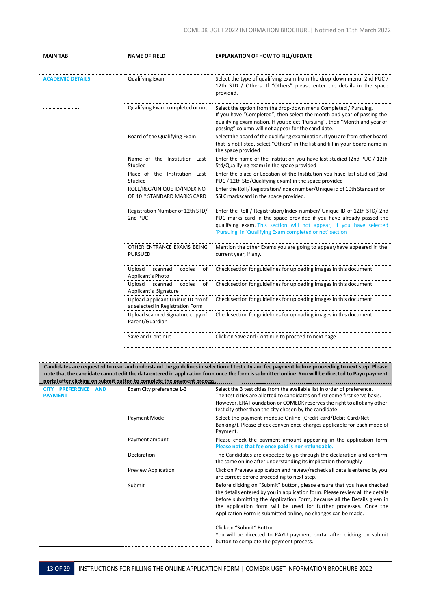| <b>MAIN TAB</b>         | <b>NAME OF FIELD</b>                                                 | <b>EXPLANATION OF HOW TO FILL/UPDATE</b>                                                                                                                                                                                                                                         |  |
|-------------------------|----------------------------------------------------------------------|----------------------------------------------------------------------------------------------------------------------------------------------------------------------------------------------------------------------------------------------------------------------------------|--|
| <b>ACADEMIC DETAILS</b> | <b>Qualifying Exam</b>                                               | Select the type of qualifying exam from the drop-down menu: 2nd PUC<br>12th STD / Others. If "Others" please enter the details in the space<br>provided.                                                                                                                         |  |
|                         | Qualifying Exam completed or not                                     | Select the option from the drop-down menu Completed / Pursuing.<br>If you have "Completed", then select the month and year of passing the<br>qualifying examination. If you select 'Pursuing", then "Month and year of<br>passing" column will not appear for the candidate.     |  |
|                         | Board of the Qualifying Exam                                         | Select the board of the qualifying examination. If you are from other board<br>that is not listed, select "Others" in the list and fill in your board name in<br>the space provided                                                                                              |  |
|                         | Name of the Institution Last<br>Studied                              | Enter the name of the Institution you have last studied (2nd PUC / 12th<br>Std/Qualifying exam) in the space provided                                                                                                                                                            |  |
|                         | Place of the Institution Last<br>Studied                             | Enter the place or Location of the Institution you have last studied (2nd<br>PUC / 12th Std/Qualifying exam) in the space provided                                                                                                                                               |  |
|                         | ROLL/REG/UNIQUE ID/INDEX NO<br>OF 10TH STANDARD MARKS CARD           | Enter the Roll / Registration/Index number/Unique id of 10th Standard or<br>SSLC markscard in the space provided.                                                                                                                                                                |  |
|                         | Registration Number of 12th STD/<br>2nd PUC                          | Enter the Roll / Registration/Index number/ Unique ID of 12th STD/ 2nd<br>PUC marks card in the space provided if you have already passed the<br>qualifying exam. This section will not appear, if you have selected<br>'Pursuing' in 'Qualifying Exam completed or not' section |  |
|                         | OTHER ENTRANCE EXAMS BEING<br><b>PURSUED</b>                         | Mention the other Exams you are going to appear/have appeared in the<br>current year, if any.                                                                                                                                                                                    |  |
|                         | scanned<br>copies<br>Upload<br>οt<br>Applicant's Photo               | Check section for guidelines for uploading images in this document                                                                                                                                                                                                               |  |
|                         | Upload scanned<br>copies<br>ot<br>Applicant's Signature              | Check section for guidelines for uploading images in this document                                                                                                                                                                                                               |  |
|                         | Upload Applicant Unique ID proof<br>as selected in Registration Form | Check section for guidelines for uploading images in this document                                                                                                                                                                                                               |  |
|                         | Upload scanned Signature copy of<br>Parent/Guardian                  | Check section for guidelines for uploading images in this document                                                                                                                                                                                                               |  |
|                         | Save and Continue                                                    | Click on Save and Continue to proceed to next page                                                                                                                                                                                                                               |  |

Candidates are requested to read and understand the guidelines in selection of test city and fee payment before proceeding to next step. Please note that the candidate cannot edit the data entered in application form once the form is submitted online. You will be directed to Payu payment  **portal after clicking on submit button to complete the payment process.**

| <b>CITY</b><br><b>PREFERENCE</b><br><b>PAYMENT</b> | <b>AND</b> | Exam City preference 1-3   | Select the 3 test cities from the available list in order of preference.<br>The test cities are allotted to candidates on first come first serve basis.<br>However, ERA Foundation or COMEDK reserves the right to allot any other<br>test city other than the city chosen by the candidate.                                                                               |
|----------------------------------------------------|------------|----------------------------|----------------------------------------------------------------------------------------------------------------------------------------------------------------------------------------------------------------------------------------------------------------------------------------------------------------------------------------------------------------------------|
|                                                    |            | Payment Mode               | Select the payment mode.ie Online (Credit card/Debit Card/Net<br>Banking/). Please check convenience charges applicable for each mode of<br>Payment.                                                                                                                                                                                                                       |
|                                                    |            | Payment amount             | Please check the payment amount appearing in the application form.<br>Please note that fee once paid is non-refundable.                                                                                                                                                                                                                                                    |
|                                                    |            | Declaration                | The Candidates are expected to go through the declaration and confirm<br>the same online after understanding its implication thoroughly                                                                                                                                                                                                                                    |
|                                                    |            | <b>Preview Application</b> | Click on Preview application and review/recheck all details entered by you<br>are correct before proceeding to next step.                                                                                                                                                                                                                                                  |
|                                                    |            | Submit                     | Before clicking on "Submit" button, please ensure that you have checked<br>the details entered by you in application form. Please review all the details<br>before submitting the Application Form, because all the Details given in<br>the application form will be used for further processes. Once the<br>Application Form is submitted online, no changes can be made. |
|                                                    |            |                            | Click on "Submit" Button<br>You will be directed to PAYU payment portal after clicking on submit<br>button to complete the payment process.                                                                                                                                                                                                                                |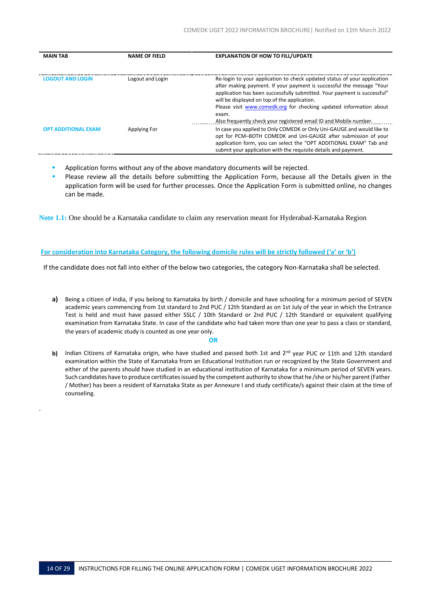| <b>MAIN TAB</b>            | <b>NAME OF FIELD</b> | <b>EXPLANATION OF HOW TO FILL/UPDATE</b>                                                                                                                                                                                                                                                                                                               |
|----------------------------|----------------------|--------------------------------------------------------------------------------------------------------------------------------------------------------------------------------------------------------------------------------------------------------------------------------------------------------------------------------------------------------|
| <b>LOGOUT AND LOGIN</b>    | Logout and Login     | Re-login to your application to check updated status of your application<br>after making payment. If your payment is successful the message "Your<br>application has been successfully submitted. Your payment is successful"<br>will be displayed on top of the application.                                                                          |
|                            |                      | Please visit www.comedk.org for checking updated information about<br>exam.                                                                                                                                                                                                                                                                            |
| <b>OPT ADDITIONAL EXAM</b> | Applying For         | Also frequently check your registered email ID and Mobile number.<br>In case you applied to Only COMEDK or Only Uni-GAUGE and would like to<br>opt for PCM-BOTH COMEDK and Uni-GAUGE after submission of your<br>application form, you can select the "OPT ADDITIONAL EXAM" Tab and<br>submit your application with the requisite details and payment. |

- Application forms without any of the above mandatory documents will be rejected.
- Please review all the details before submitting the Application Form, because all the Details given in the application form will be used for further processes. Once the Application Form is submitted online, no changes can be made.

**Note 1.1:** One should be a Karnataka candidate to claim any reservation meant for Hyderabad-Karnataka Region

## **For consideration into Karnataka Category, the following domicile rules will be strictly followed ('a' or 'b')**

If the candidate does not fall into either of the below two categories, the category Non-Karnataka shall be selected.

**a)** Being a citizen of India, if you belong to Karnataka by birth / domicile and have schooling for a minimum period of SEVEN academic years commencing from 1st standard to 2nd PUC / 12th Standard as on 1st July of the year in which the Entrance Test is held and must have passed either SSLC / 10th Standard or 2nd PUC / 12th Standard or equivalent qualifying examination from Karnataka State. In case of the candidate who had taken more than one year to pass a class or standard, the years of academic study is counted as one year only.

## **OR**

**b)** Indian Citizens of Karnataka origin, who have studied and passed both 1st and 2<sup>nd</sup> year PUC or 11th and 12th standard examination within the State of Karnataka from an Educational Institution run or recognized by the State Government and either of the parents should have studied in an educational institution of Karnataka for a minimum period of SEVEN years. Such candidates have to produce certificatesissued by the competent authority to show that he /she or his/her parent (Father / Mother) has been a resident of Karnataka State as per Annexure I and study certificate/s against their claim at the time of counseling.

.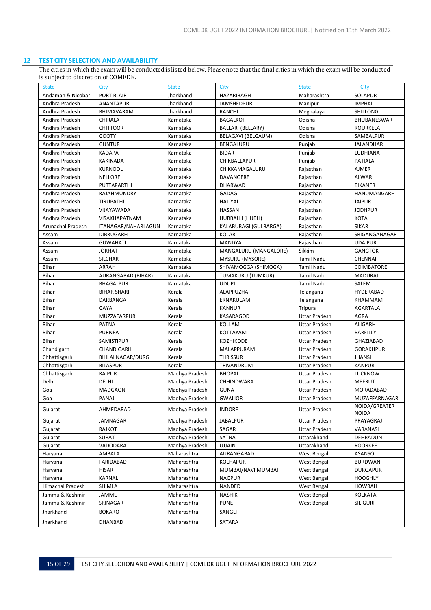# **12 TEST CITY SELECTION AND AVAILABILITY**

<span id="page-15-0"></span>The cities in which the exam will be conducted is listed below. Please note that the final cities in which the exam will be conducted is subject to discretion of COMEDK.

| <b>State</b>      | City                     | <b>State</b>   | City                     | <b>State</b>         | City                          |
|-------------------|--------------------------|----------------|--------------------------|----------------------|-------------------------------|
| Andaman & Nicobar | <b>PORT BLAIR</b>        | Jharkhand      | HAZARIBAGH               | Maharashtra          | <b>SOLAPUR</b>                |
| Andhra Pradesh    | ANANTAPUR                | Jharkhand      | <b>JAMSHEDPUR</b>        | Manipur              | <b>IMPHAL</b>                 |
| Andhra Pradesh    | BHIMAVARAM               | Jharkhand      | RANCHI                   | Meghalaya            | SHILLONG                      |
| Andhra Pradesh    | CHIRALA                  | Karnataka      | <b>BAGALKOT</b>          | Odisha               | <b>BHUBANESWAR</b>            |
| Andhra Pradesh    | <b>CHITTOOR</b>          | Karnataka      | <b>BALLARI (BELLARY)</b> | Odisha               | <b>ROURKELA</b>               |
| Andhra Pradesh    | <b>GOOTY</b>             | Karnataka      | BELAGAVI (BELGAUM)       | Odisha               | SAMBALPUR                     |
| Andhra Pradesh    | <b>GUNTUR</b>            | Karnataka      | BENGALURU                | Punjab               | <b>JALANDHAR</b>              |
| Andhra Pradesh    | <b>KADAPA</b>            | Karnataka      | <b>BIDAR</b>             | Punjab               | LUDHIANA                      |
| Andhra Pradesh    | <b>KAKINADA</b>          | Karnataka      | CHIKBALLAPUR             | Punjab               | <b>PATIALA</b>                |
| Andhra Pradesh    | <b>KURNOOL</b>           | Karnataka      | CHIKKAMAGALURU           | Rajasthan            | <b>AJMER</b>                  |
| Andhra Pradesh    | <b>NELLORE</b>           | Karnataka      | DAVANGERE                | Rajasthan            | <b>ALWAR</b>                  |
| Andhra Pradesh    | PUTTAPARTHI              | Karnataka      | <b>DHARWAD</b>           | Rajasthan            | <b>BIKANER</b>                |
| Andhra Pradesh    | RAJAHMUNDRY              | Karnataka      | GADAG                    | Rajasthan            | HANUMANGARH                   |
| Andhra Pradesh    | <b>TIRUPATHI</b>         | Karnataka      | HALIYAL                  | Rajasthan            | <b>JAIPUR</b>                 |
| Andhra Pradesh    | VIJAYAWADA               | Karnataka      | <b>HASSAN</b>            | Rajasthan            | <b>JODHPUR</b>                |
| Andhra Pradesh    | VISAKHAPATNAM            | Karnataka      | HUBBALLI (HUBLI)         | Rajasthan            | <b>KOTA</b>                   |
| Arunachal Pradesh | ITANAGAR/NAHARLAGUN      | Karnataka      | KALABURAGI (GULBARGA)    | Rajasthan            | <b>SIKAR</b>                  |
| Assam             | <b>DIBRUGARH</b>         | Karnataka      | <b>KOLAR</b>             | Rajasthan            | SRIGANGANAGAR                 |
| Assam             | <b>GUWAHATI</b>          | Karnataka      | <b>MANDYA</b>            | Rajasthan            | <b>UDAIPUR</b>                |
| Assam             | <b>JORHAT</b>            | Karnataka      | MANGALURU (MANGALORE)    | Sikkim               | <b>GANGTOK</b>                |
| Assam             | <b>SILCHAR</b>           | Karnataka      | <b>MYSURU (MYSORE)</b>   | <b>Tamil Nadu</b>    | <b>CHENNAI</b>                |
| Bihar             | ARRAH                    | Karnataka      | SHIVAMOGGA (SHIMOGA)     | Tamil Nadu           | <b>COIMBATORE</b>             |
| Bihar             | AURANGABAD (BIHAR)       | Karnataka      | TUMAKURU (TUMKUR)        | <b>Tamil Nadu</b>    | <b>MADURAI</b>                |
| Bihar             | <b>BHAGALPUR</b>         | Karnataka      | <b>UDUPI</b>             | <b>Tamil Nadu</b>    | SALEM                         |
| Bihar             | <b>BIHAR SHARIF</b>      | Kerala         | ALAPPUZHA                | Telangana            | <b>HYDERABAD</b>              |
| Bihar             | DARBANGA                 | Kerala         | ERNAKULAM                | Telangana            | <b>KHAMMAM</b>                |
| Bihar             | GAYA                     | Kerala         | <b>KANNUR</b>            | <b>Tripura</b>       | <b>AGARTALA</b>               |
| <b>Bihar</b>      | MUZZAFARPUR              | Kerala         | KASARAGOD                | <b>Uttar Pradesh</b> | <b>AGRA</b>                   |
| Bihar             | <b>PATNA</b>             | Kerala         | KOLLAM                   | <b>Uttar Pradesh</b> | <b>ALIGARH</b>                |
| Bihar             | <b>PURNEA</b>            | Kerala         | KOTTAYAM                 | <b>Uttar Pradesh</b> | BAREILLY                      |
| Bihar             | SAMISTIPUR               | Kerala         | KOZHIKODE                | <b>Uttar Pradesh</b> | <b>GHAZIABAD</b>              |
| Chandigarh        | CHANDIGARH               | Kerala         | MALAPPURAM               | <b>Uttar Pradesh</b> | <b>GORAKHPUR</b>              |
| Chhattisgarh      | <b>BHILAI NAGAR/DURG</b> | Kerala         | <b>THRISSUR</b>          | <b>Uttar Pradesh</b> | <b>JHANSI</b>                 |
| Chhattisgarh      | <b>BILASPUR</b>          | Kerala         | TRIVANDRUM               | <b>Uttar Pradesh</b> | <b>KANPUR</b>                 |
| Chhattisgarh      | <b>RAIPUR</b>            | Madhya Pradesh | <b>BHOPAL</b>            | <b>Uttar Pradesh</b> | <b>LUCKNOW</b>                |
| Delhi             | DELHI                    | Madhya Pradesh | CHHINDWARA               | <b>Uttar Pradesh</b> | <b>MEERUT</b>                 |
| Goa               | <b>MADGAON</b>           | Madhya Pradesh | <b>GUNA</b>              | <b>Uttar Pradesh</b> | MORADABAD                     |
| Goa               | PANAJI                   | Madhya Pradesh | <b>GWALIOR</b>           | <b>Uttar Pradesh</b> | MUZAFFARNAGAR                 |
| Gujarat           | AHMEDABAD                | Madhya Pradesh | <b>INDORE</b>            | Uttar Pradesh        | NOIDA/GREATER<br><b>NOIDA</b> |
| Gujarat           | <b>JAMNAGAR</b>          | Madhya Pradesh | <b>JABALPUR</b>          | <b>Uttar Pradesh</b> | PRAYAGRAJ                     |
| Gujarat           | RAJKOT                   | Madhya Pradesh | SAGAR                    | Uttar Pradesh        | VARANASI                      |
| Gujarat           | <b>SURAT</b>             | Madhya Pradesh | SATNA                    | Uttarakhand          | DEHRADUN                      |
| Gujarat           | VADODARA                 | Madhya Pradesh | <b>UJJAIN</b>            | Uttarakhand          | <b>ROORKEE</b>                |
| Haryana           | AMBALA                   | Maharashtra    | AURANGABAD               | West Bengal          | ASANSOL                       |
| Haryana           | FARIDABAD                | Maharashtra    | <b>KOLHAPUR</b>          | West Bengal          | <b>BURDWAN</b>                |
| Haryana           | <b>HISAR</b>             | Maharashtra    | MUMBAI/NAVI MUMBAI       | West Bengal          | <b>DURGAPUR</b>               |
| Haryana           | KARNAL                   | Maharashtra    | <b>NAGPUR</b>            | West Bengal          | <b>HOOGHLY</b>                |
| Himachal Pradesh  | SHIMLA                   | Maharashtra    | NANDED                   | West Bengal          | <b>HOWRAH</b>                 |
| Jammu & Kashmir   | JAMMU                    | Maharashtra    | <b>NASHIK</b>            | West Bengal          | KOLKATA                       |
| Jammu & Kashmir   | SRINAGAR                 | Maharashtra    | <b>PUNE</b>              | West Bengal          | <b>SILIGURI</b>               |
| Jharkhand         | <b>BOKARO</b>            | Maharashtra    | SANGLI                   |                      |                               |
| Jharkhand         | DHANBAD                  | Maharashtra    | SATARA                   |                      |                               |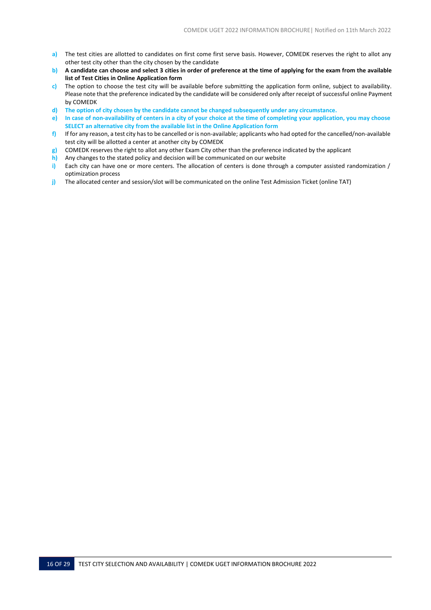- **a)** The test cities are allotted to candidates on first come first serve basis. However, COMEDK reserves the right to allot any other test city other than the city chosen by the candidate
- **b) A candidate can choose and select 3 cities in order of preference at the time of applying for the exam from the available list of Test Cities in Online Application form**
- **c)** The option to choose the test city will be available before submitting the application form online, subject to availability. Please note that the preference indicated by the candidate will be considered only after receipt of successful online Payment by COMEDK
- **d) The option of city chosen by the candidate cannot be changed subsequently under any circumstance.**
- e) In case of non-availability of centers in a city of your choice at the time of completing your application, you may choose **SELECT an alternative city from the available list in the Online Application form**
- **f)** If for any reason, a test city hasto be cancelled or is non-available; applicants who had opted for the cancelled/non-available test city will be allotted a center at another city by COMEDK
- **g)** COMEDK reserves the right to allot any other Exam City other than the preference indicated by the applicant
- **h)** Any changes to the stated policy and decision will be communicated on our website
- **i)** Each city can have one or more centers. The allocation of centers is done through a computer assisted randomization / optimization process
- **j)** The allocated center and session/slot will be communicated on the online Test Admission Ticket (online TAT)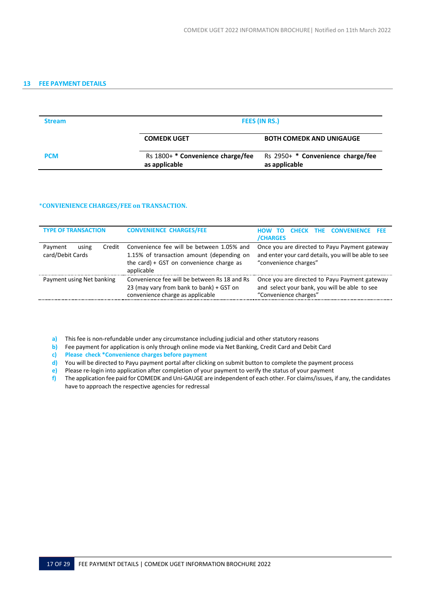# <span id="page-17-0"></span>**13 FEE PAYMENT DETAILS**

| <b>Stream</b> |                                                    | FEES (IN RS.)                                        |  |  |
|---------------|----------------------------------------------------|------------------------------------------------------|--|--|
|               | <b>COMEDK UGET</b>                                 | <b>BOTH COMEDK AND UNIGAUGE</b>                      |  |  |
| <b>PCM</b>    | Rs 1800+ * Convenience charge/fee<br>as applicable | Rs $2950+$ * Convenience charge/fee<br>as applicable |  |  |

## \***CONVIENIENCE CHARGES/FEE on TRANSACTION.**

| <b>TYPE OF TRANSACTION</b>                     | <b>CONVENIENCE CHARGES/FEE</b>                                                                                                                     | <b>CHECK THE CONVENIENCE FEE</b><br>HOW TO<br><b>/CHARGES</b>                                                                  |
|------------------------------------------------|----------------------------------------------------------------------------------------------------------------------------------------------------|--------------------------------------------------------------------------------------------------------------------------------|
| using<br>Credit<br>Payment<br>card/Debit Cards | Convenience fee will be between 1.05% and<br>1.15% of transaction amount (depending on<br>the card) $+$ GST on convenience charge as<br>applicable | Once you are directed to Payu Payment gateway<br>and enter your card details, you will be able to see<br>"convenience charges" |
| Payment using Net banking                      | Convenience fee will be between Rs 18 and Rs<br>23 (may vary from bank to bank) + GST on<br>convenience charge as applicable                       | Once you are directed to Payu Payment gateway<br>and select your bank, you will be able to see<br>"Convenience charges"        |

- **a)** This fee is non-refundable under any circumstance including judicial and other statutory reasons
- **b)** Fee payment for application is only through online mode via Net Banking, Credit Card and Debit Card
- **c) Please check \*Convenience charges before payment**
- **d)** You will be directed to Payu payment portal after clicking on submit button to complete the payment process
- **e)** Please re-login into application after completion of your payment to verify the status of your payment
- **f)** The application fee paid for COMEDK and Uni-GAUGE are independent of each other. For claims/issues, if any, the candidates have to approach the respective agencies for redressal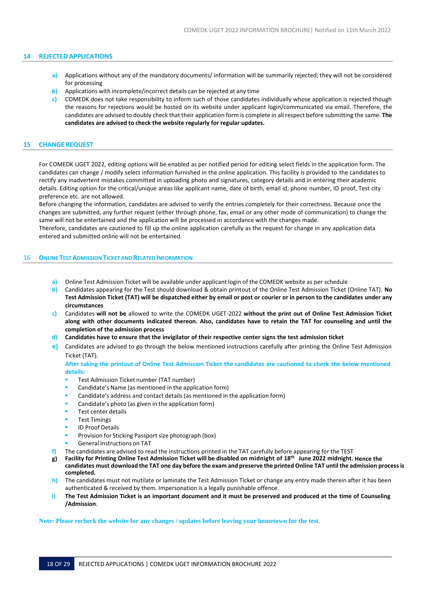## <span id="page-18-0"></span>**14 REJECTED APPLICATIONS**

- **a)** Applications without any of the mandatory documents/ information will be summarily rejected; they will not be considered for processing
- **b)** Applications with incomplete/incorrect details can be rejected at any time
- **c)** COMEDK does not take responsibility to inform such of those candidates individually whose application is rejected though the reasons for rejections would be hosted on its website under applicant login/communicated via email. Therefore, the candidates are advised to doubly check that their application form is complete in all respect before submitting the same. **The candidates are advised to check the website regularly for regular updates.**

## <span id="page-18-1"></span>**15 CHANGE REQUEST**

For COMEDK UGET 2022, editing options will be enabled as per notified period for editing select fields in the application form. The candidates can change / modify select information furnished in the online application. This facility is provided to the candidates to rectify any inadvertent mistakes committed in uploading photo and signatures, category details and in entering their academic details. Editing option for the critical/unique areas like applicant name, date of birth, email id, phone number, ID proof, Test city preference etc. are not allowed.

Before changing the information, candidates are advised to verify the entries completely for their correctness. Because once the changes are submitted, any further request (either through phone, fax, email or any other mode of communication) to change the same will not be entertained and the application will be processed in accordance with the changes made.

Therefore, candidates are cautioned to fill up the online application carefully as the request for change in any application data entered and submitted online will not be entertained.

## <span id="page-18-2"></span>16 **ONLINE TESTADMISSION TICKET AND RELATED INFORMATION**

- **a)** Online Test Admission Ticket will be available under applicant login of the COMEDK website as per schedule
- **b)** Candidates appearing for the Test should download & obtain printout of the Online Test Admission Ticket (Online TAT). **No** Test Admission Ticket (TAT) will be dispatched either by email or post or courier or in person to the candidates under any **circumstances**
- **c)** Candidates **will not be** allowed to write the COMEDK UGET-2022 **without the print out of Online Test Admission Ticket along with other documents indicated thereon. Also, candidates have to retain the TAT for counseling and until the completion of the admission process**
- d) Candidates have to ensure that the invigilator of their respective center signs the test admission ticket
- **e)** Candidates are advised to go through the below mentioned instructions carefully after printing the Online Test Admission Ticket (TAT).

After taking the printout of Online Test Admission Ticket the candidates are cautioned to check the below mentioned **details:**

- Test Admission Ticket number (TAT number)
- Candidate's Name (as mentioned in the application form)
- Candidate's address and contact details (as mentioned in the application form)
- Candidate's photo (as given in the application form)
- Test center details
- **Test Timings**
- **ID Proof Details**
- Provision for Sticking Passport size photograph (box)
- General Instructions on TAT
- **f)** The candidates are advised to read the instructions printed in the TAT carefully before appearing for the TEST
- **g) Facility for Printing Online Test Admission Ticket will be disabled on midnight of 18 th June 2022 midnight. Hence the**  candidates must download the TAT one day before the exam and preserve the printed Online TAT until the admission process is **completed.**
- **h)** The candidates must not mutilate or laminate the Test Admission Ticket or change any entry made therein after it has been authenticated & received by them. Impersonation is a legally punishable offence.
- i) The Test Admission Ticket is an important document and it must be preserved and produced at the time of Counseling **/Admission**.

**Note: Please recheck the website for any changes / updates before leaving your hometown for the test.**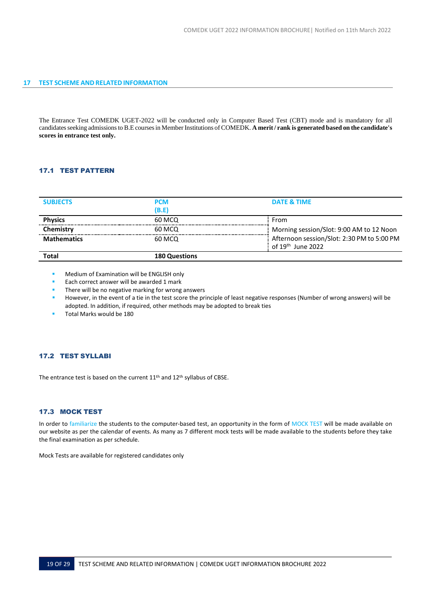<span id="page-19-0"></span>The Entrance Test COMEDK UGET-2022 will be conducted only in Computer Based Test (CBT) mode and is mandatory for all candidatesseeking admissionsto B.E coursesin MemberInstitutions of COMEDK. **A merit / rank is generated based on the candidate's scores in entrance test only.**

## <span id="page-19-1"></span>17.1 TEST PATTERN

| <b>Total</b>       | <b>180 Questions</b> |                                                                             |
|--------------------|----------------------|-----------------------------------------------------------------------------|
| <b>Mathematics</b> | 60 MCQ               | Afternoon session/Slot: 2:30 PM to 5:00 PM<br>of 19 <sup>th</sup> June 2022 |
| <b>Chemistry</b>   | 60 MCQ               | Morning session/Slot: 9:00 AM to 12 Noon                                    |
| <b>Physics</b>     | 60 MCQ               | From                                                                        |
| <b>SUBJECTS</b>    | <b>PCM</b><br>(B.E)  | DATE & TIME                                                                 |
|                    |                      |                                                                             |

- Medium of Examination will be ENGLISH only
- Each correct answer will be awarded 1 mark
- There will be no negative marking for wrong answers
- However, in the event of a tie in the test score the principle of least negative responses (Number of wrong answers) will be adopted. In addition, if required, other methods may be adopted to break ties
- Total Marks would be 180

# <span id="page-19-2"></span>17.2 TEST SYLLABI

The entrance test is based on the current 11<sup>th</sup> and 12<sup>th</sup> syllabus of CBSE.

## <span id="page-19-3"></span>17.3 MOCK TEST

In order to familiarize the students to the computer-based test, an opportunity in the form of MOCK TEST will be made available on our website as per the calendar of events. As many as 7 different mock tests will be made available to the students before they take the final examination as per schedule.

Mock Tests are available for registered candidates only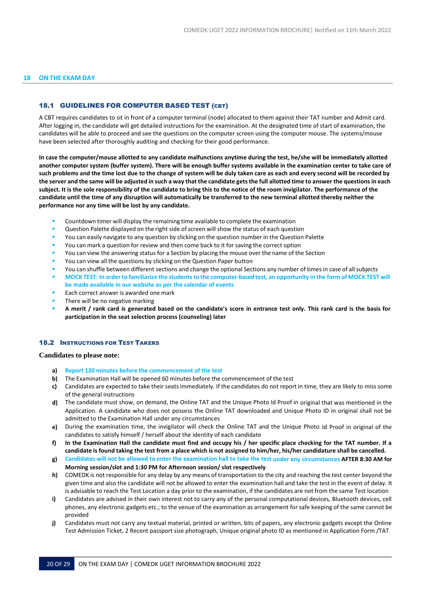#### <span id="page-20-1"></span><span id="page-20-0"></span>**18 ON THE EXAM DAY**

## 18.1 GUIDELINES FOR COMPUTER BASED TEST (CBT)

A CBT requires candidates to sit in front of a computer terminal (node) allocated to them against their TAT number and Admit card. After logging in, the candidate will get detailed instructions for the examination. At the designated time of start of examination, the candidates will be able to proceed and see the questions on the computer screen using the computer mouse. The systems/mouse have been selected after thoroughly auditing and checking for their good performance.

**In case the computer/mouse allotted to any candidate malfunctions anytime during the test, he/she will be immediately allotted another computer system (buffer system). There will be enough buffer systems available in the examination center to take care of such problems and the time lost due to the change of system will be duly taken care as each and every second will be recorded by** the server and the same will be adjusted in such a way that the candidate gets the full allotted time to answer the questions in each **subject. It is the sole responsibility of the candidate to bring this to the notice of the room invigilator. The performance of the candidate until the time of any disruption will automatically be transferred to the new terminal allotted thereby neither the performance nor any time will be lost by any candidate.**

- Countdown timer will display the remaining time available to complete the examination
- Question Palette displayed on the right side of screen will show the status of each question
- You can easily navigate to any question by clicking on the question number in the Question Palette
- You can mark a question for review and then come back to it for saving the correct option
- You can view the answering status for a Section by placing the mouse over the name of the Section
- You can view all the questions by clicking on the Question Paper button
- You can shuffle between different sections and change the optional Sections any number of times in case of all subjects
- MOCK TEST: In order to familiarize the students to the computer-based test, an opportunity in the form of MOCK TEST will **be made available in our website as per the calendar of events**
- Each correct answer is awarded one mark
- There will be no negative marking
- A merit / rank card is generated based on the candidate's score in entrance test only. This rank card is the basis for **participation in the seat selection process (counseling) later**

#### <span id="page-20-2"></span>**18.2 INSTRUCTIONS FOR TEST TAKERS**

#### **Candidates to please note:**

- **a) Report 120 minutes before the commencement of the test**
- **b)** The Examination Hall will be opened 60 minutes before the commencement of the test
- **c)** Candidates are expected to take their seatsimmediately. If the candidates do not report in time, they are likely to miss some of the general instructions
- **d)** The candidate must show, on demand, the Online TAT and the Unique Photo Id Proof in original that was mentioned in the Application. A candidate who does not possess the Online TAT downloaded and Unique Photo ID in original shall not be admitted to the Examination Hall under any circumstances
- **e)** During the examination time, the invigilator will check the Online TAT and the Unique Photo Id Proof in original of the candidates to satisfy himself / herself about the identity of each candidate
- **f) In the Examination Hall the candidate must find and occupy his / her specific place checking for the TAT number. If a** candidate is found taking the test from a place which is not assigned to him/her, his/her candidature shall be cancelled.
- g) Candidates will not be allowed to enter the examination hall to take the test under any circumstances AFTER 8:30 AM for **Morning session/slot and 1:30 PM for Afternoon session/ slot respectively**
- **h)** COMEDK is not responsible for any delay by any means of transportation to the city and reaching the test center beyond the given time and also the candidate will not be allowed to enter the examination hall and take the test in the event of delay. It is advisable to reach the Test Location a day prior to the examination, if the candidates are not from the same Test location
- **i)** Candidates are advised in their own interest not to carry any of the personal computational devices, Bluetooth devices, cell phones, any electronic gadgets etc.; to the venue of the examination as arrangement forsafe keeping of the same cannot be provided
- **j)** Candidates must not carry any textual material, printed or written, bits of papers, any electronic gadgets except the Online Test Admission Ticket, 2 Recent passport size photograph, Unique original photo ID as mentioned in Application Form /TAT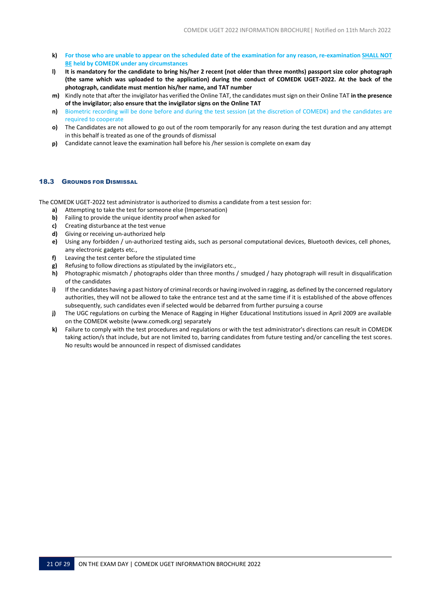- k) For those who are unable to appear on the scheduled date of the examination for any reason, re-examination SHALL NOT **BE held by COMEDK under any circumstances**
- **l) It is mandatory for the candidate to bring his/her 2 recent (not older than three months) passport size color photograph (the same which was uploaded to the application) during the conduct of COMEDK UGET-2022. At the back of the photograph, candidate must mention his/her name, and TAT number**
- **m)** Kindly note that after the invigilator has verified the Online TAT, the candidates must sign on their Online TAT **in the presence of the invigilator; also ensure that the invigilator signs on the Online TAT**
- **n)** Biometric recording will be done before and during the test session (at the discretion of COMEDK) and the candidates are required to cooperate
- **o)** The Candidates are not allowed to go out of the room temporarily for any reason during the test duration and any attempt in this behalf is treated as one of the grounds of dismissal
- **p)** Candidate cannot leave the examination hall before his /her session is complete on exam day

## <span id="page-21-0"></span>18.3 GROUNDS FOR DISMISSAL

The COMEDK UGET-2022 test administrator is authorized to dismiss a candidate from a test session for:

- **a)** Attempting to take the test for someone else (Impersonation)
- **b)** Failing to provide the unique identity proof when asked for
- **c)** Creating disturbance at the test venue
- **d)** Giving or receiving un-authorized help
- **e)** Using any forbidden / un-authorized testing aids, such as personal computational devices, Bluetooth devices, cell phones, any electronic gadgets etc.,
- **f)** Leaving the test center before the stipulated time
- **g)** Refusing to follow directions as stipulated by the invigilators etc.,
- **h)** Photographic mismatch / photographs older than three months / smudged / hazy photograph will result in disqualification of the candidates
- i) If the candidates having a past history of criminal records or having involved in ragging, as defined by the concerned regulatory authorities, they will not be allowed to take the entrance test and at the same time if it is established of the above offences subsequently, such candidates even if selected would be debarred from further pursuing a course
- **j)** The UGC regulations on curbing the Menace of Ragging in Higher Educational Institutions issued in April 2009 are available on the COMEDK website [\(www.comedk.org\)](http://www.comedk.org/) separately
- **k)** Failure to comply with the test procedures and regulations or with the test administrator's directions can result in COMEDK taking action/s that include, but are not limited to, barring candidates from future testing and/or cancelling the test scores. No results would be announced in respect of dismissed candidates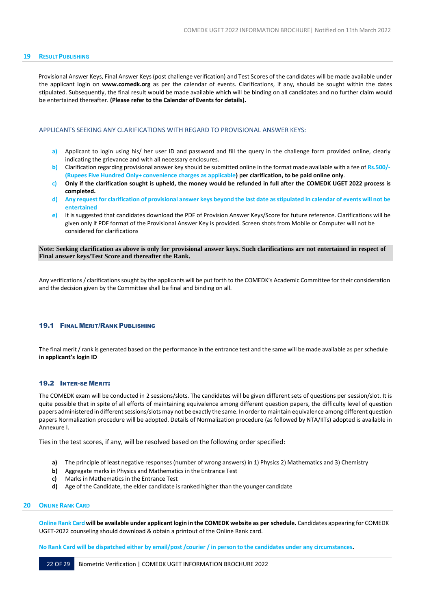## <span id="page-22-0"></span>**19 RESULT PUBLISHING**

Provisional Answer Keys, Final Answer Keys (post challenge verification) and Test Scores of the candidates will be made available under the applicant login on **[www.comedk.org](http://www.comedk.org/)** as per the calendar of events. Clarifications, if any, should be sought within the dates stipulated. Subsequently, the final result would be made available which will be binding on all candidates and no further claim would be entertained thereafter. **(Please refer to the Calendar of Events for details).**

## <span id="page-22-1"></span>APPLICANTS SEEKING ANY CLARIFICATIONS WITH REGARD TO PROVISIONAL ANSWER KEYS:

- **a)** Applicant to login using his/ her user ID and password and fill the query in the challenge form provided online, clearly indicating the grievance and with all necessary enclosures.
- **b)** Clarification regarding provisional answer key should be submitted online in the format made available with a fee of **Rs.500/- (Rupees Five Hundred Only+ convenience charges as applicable) per clarification, to be paid online only**.
- c) Only if the clarification sought is upheld, the money would be refunded in full after the COMEDK UGET 2022 process is **completed.**
- d) Any request for clarification of provisional answer keys beyond the last date as stipulated in calendar of events will not be **entertained**
- **e)** It is suggested that candidates download the PDF of Provision Answer Keys/Score for future reference. Clarifications will be given only if PDF format of the Provisional Answer Key is provided. Screen shots from Mobile or Computer will not be considered for clarifications

Note: Seeking clarification as above is only for provisional answer keys. Such clarifications are not entertained in respect of **Final answer keys/Test Score and thereafter the Rank.**

Any verifications/ clarificationssought by the applicants will be put forth to the COMEDK's Academic Committee fortheir consideration and the decision given by the Committee shall be final and binding on all.

## <span id="page-22-2"></span>19.1 FINAL MERIT/RANK PUBLISHING

The final merit/ rank is generated based on the performance in the entrance test and the same will be made available as per schedule **in applicant's login ID**

## <span id="page-22-3"></span>19.2 INTER-SE MERIT:

The COMEDK exam will be conducted in 2 sessions/slots. The candidates will be given different sets of questions per session/slot. It is quite possible that in spite of all efforts of maintaining equivalence among different question papers, the difficulty level of question papers administered in different sessions/slots may not be exactly the same. In order to maintain equivalence among different question papers Normalization procedure will be adopted. Details of Normalization procedure (as followed by NTA/IITs) adopted is available in Annexure I.

Ties in the test scores, if any, will be resolved based on the following order specified:

- **a)** The principle of least negative responses (number of wrong answers) in 1) Physics 2) Mathematics and 3) Chemistry
- **b)** Aggregate marks in Physics and Mathematics in the Entrance Test
- **c)** Marksin Mathematics in the Entrance Test
- **d)** Age of the Candidate, the elder candidate is ranked higher than the younger candidate

#### <span id="page-22-4"></span>**20 ONLINE RANK CARD**

Online Rank Card will be available under applicant login in the COMEDK website as per schedule. Candidates appearing for COMEDK UGET-2022 counseling should download & obtain a printout of the Online Rank card.

No Rank Card will be dispatched either by email/post/courier/in person to the candidates under any circumstances.

22 OF 29 Biometric Verification | COMEDK UGET INFORMATION BROCHURE 2022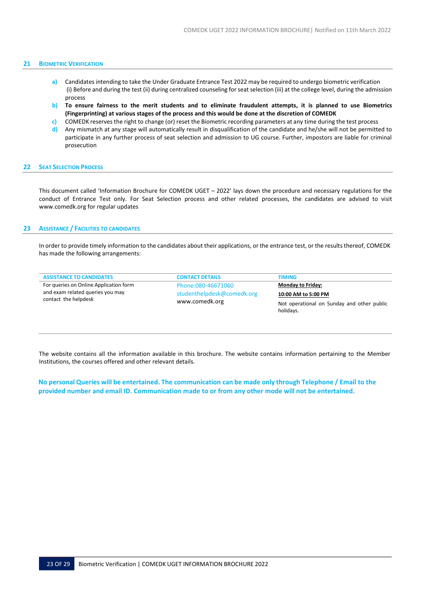#### <span id="page-23-0"></span>**21 BIOMETRIC VERIFICATION**

- **a)** Candidates intending to take the Under Graduate Entrance Test 2022 may be required to undergo biometric verification (i) Before and during the test (ii) during centralized counseling for seat selection (iii) at the college level, during the admission process
- b) To ensure fairness to the merit students and to eliminate fraudulent attempts, it is planned to use Biometrics **(Fingerprinting) at various stages of the process and this would be done at the discretion of COMEDK**
- **c)** COMEDK reserves the right to change (or) reset the Biometric recording parameters at any time during the test process **d)** Any mismatch at any stage will automatically result in disqualification of the candidate and he/she will not be permitted to participate in any further process of seat selection and admission to UG course. Further, impostors are liable for criminal prosecution

#### <span id="page-23-1"></span>**22 SEAT SELECTION PROCESS**

This document called 'Information Brochure for COMEDK UGET – 2022' lays down the procedure and necessary regulations for the conduct of Entrance Test only. For Seat Selection process and other related processes, the candidates are advised to visit [www.comedk.org f](http://www.comedk.org/)or regular updates

#### <span id="page-23-2"></span>**23 ASSISTANCE / FACILITIES TO CANDIDATES**

In order to provide timely information to the candidates about their applications, or the entrance test, or the resultsthereof, COMEDK has made the following arrangements:

| <b>ASSISTANCE TO CANDIDATES</b>        | <b>CONTACT DETAILS</b>                       | <b>TIMING</b>                              |
|----------------------------------------|----------------------------------------------|--------------------------------------------|
| For queries on Online Application form | Phone: 080-46671060                          | <b>Monday to Friday:</b>                   |
| and exam related queries you may       | studenthelpdesk@comedk.org<br>www.comedk.org | 10:00 AM to 5:00 PM                        |
| contact the helpdesk                   |                                              | Not operational on Sunday and other public |
|                                        |                                              | holidays.                                  |

The website contains all the information available in this brochure. The website contains information pertaining to the Member Institutions, the courses offered and other relevant details.

No personal Queries will be entertained. The communication can be made only through Telephone / Email to the **provided number and email ID. Communication made to or from any other mode will not be entertained.**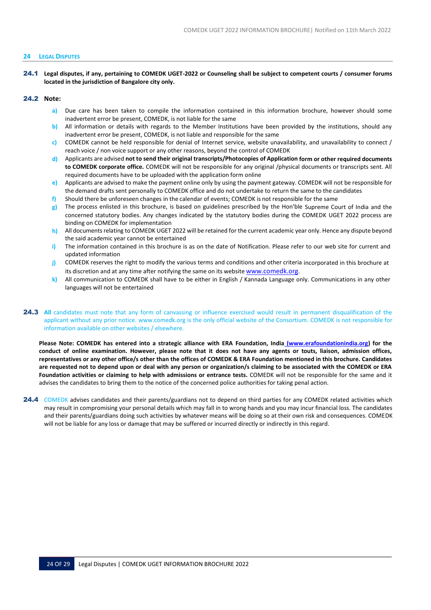#### <span id="page-24-0"></span>**24 LEGALDISPUTES**

24.1 **Legal disputes, if any, pertaining to COMEDK UGET-2022 or Counseling shall be subject to competent courts / consumer forums located in the jurisdiction of Bangalore city only.**

## 24.2 **Note:**

- **a)** Due care has been taken to compile the information contained in this information brochure, however should some inadvertent error be present, COMEDK, is not liable for the same
- **b)** All information or details with regards to the Member Institutions have been provided by the institutions, should any inadvertent error be present, COMEDK, is not liable and responsible for the same
- **c)** COMEDK cannot be held responsible for denial of Internet service, website unavailability, and unavailability to connect / reach voice / non voice support or any other reasons, beyond the control of COMEDK
- **d)** Applicants are advised **not to send their original transcripts/Photocopies of Application form or other required documents to COMEDK corporate office.** COMEDK will not be responsible for any original /physical documents or transcripts sent. All required documents have to be uploaded with the application form online
- **e)** Applicants are advised to make the payment online only by using the payment gateway. COMEDK will not be responsible for the demand drafts sent personally to COMEDK office and do not undertake to return the same to the candidates
- **f)** Should there be unforeseen changes in the calendar of events; COMEDK is not responsible for the same
- **g)** The process enlisted in this brochure, is based on guidelines prescribed by the Hon'ble Supreme Court of India and the concerned statutory bodies. Any changes indicated by the statutory bodies during the COMEDK UGET 2022 process are binding on COMEDK for implementation
- **h)** All documents relating to COMEDK UGET 2022 will be retained for the current academic year only. Hence any dispute beyond the said academic year cannot be entertained
- **i)** The information contained in this brochure is as on the date of Notification. Please refer to our web site for current and updated information
- **j)** COMEDK reserves the right to modify the various terms and conditions and other criteria incorporated in this brochure at its discretion and at any time after notifying the same on its website [www.comedk.org](http://www.comedk.org/).
- **k)** All communication to COMEDK shall have to be either in English / Kannada Language only. Communications in any other languages will not be entertained
- 24.3 All candidates must note that any form of canvassing or influence exercised would result in permanent disqualification of the applicant without any prior notice. [www.comedk.org is](http://www.comedk.org/) the only official website of the Consortium. COMEDK is not responsible for information available on other websites / elsewhere.

**Please Note: COMEDK has entered into a strategic alliance with ERA Foundation, India (www.erafoundationindia.org) for the conduct of online examination. However, please note that it does not have any agents or touts, liaison, admission offices, representatives or any other office/s other than the offices of COMEDK & ERA Foundation mentioned in this brochure. Candidates are requested not to depend upon or deal with any person or organization/s claiming to be associated with the COMEDK or ERA Foundation activities or claiming to help with admissions or entrance tests.** COMEDK will not be responsible for the same and it advises the candidates to bring them to the notice of the concerned police authorities for taking penal action.

24.4 COMEDK advises candidates and their parents/guardians not to depend on third parties for any COMEDK related activities which may result in compromising your personal details which may fall in to wrong hands and you may incur financial loss. The candidates and their parents/guardians doing such activities by whatever means will be doing so at their own risk and consequences. COMEDK will not be liable for any loss or damage that may be suffered or incurred directly or indirectly in this regard.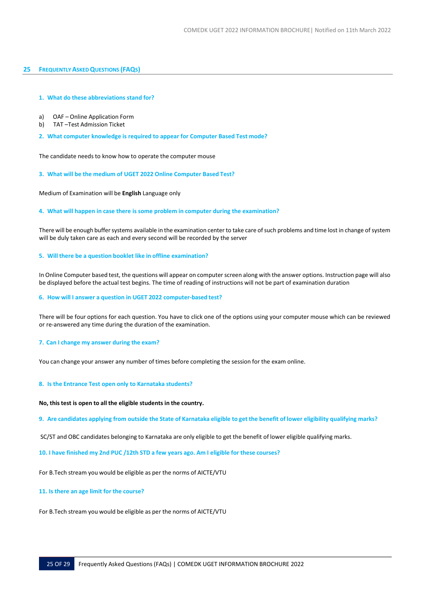## <span id="page-25-0"></span>**25 FREQUENTLYASKEDQUESTIONS (FAQS)**

## **1. What do these abbreviations stand for?**

- a) OAF Online Application Form
- b) TAT –Test Admission Ticket
- **2. What computer knowledge is required to appear for Computer Based Test mode?**

The candidate needs to know how to operate the computer mouse

**3. What will be the medium of UGET 2022 Online Computer Based Test?**

Medium of Examination will be **English** Language only

## **4. What will happen in case there is some problem in computer during the examination?**

There will be enough buffer systems available in the examination center to take care of such problems and time lost in change of system will be duly taken care as each and every second will be recorded by the server

## **5. Will there be a question booklet like in offline examination?**

In Online Computer based test, the questions will appear on computer screen along with the answer options. Instruction page will also be displayed before the actual test begins. The time of reading of instructions will not be part of examination duration

**6. How will I answer a question in UGET 2022 computer-based test?**

There will be four options for each question. You have to click one of the options using your computer mouse which can be reviewed or re-answered any time during the duration of the examination.

## **7. Can I change my answer during the exam?**

You can change your answer any number of times before completing the session for the exam online.

## **8. Is the Entrance Test open only to Karnataka students?**

## **No, thistest is open to all the eligible students in the country.**

9. Are candidates applying from outside the State of Karnataka eligible to get the benefit of lower eligibility qualifying marks?

SC/ST and OBC candidates belonging to Karnataka are only eligible to get the benefit of lower eligible qualifying marks.

**10. I have finished my 2nd PUC /12th STD a few years ago. Am I eligible for these courses?**

For B.Tech stream you would be eligible as per the norms of AICTE/VTU

## **11. Is there an age limit for the course?**

For B.Tech stream you would be eligible as per the norms of AICTE/VTU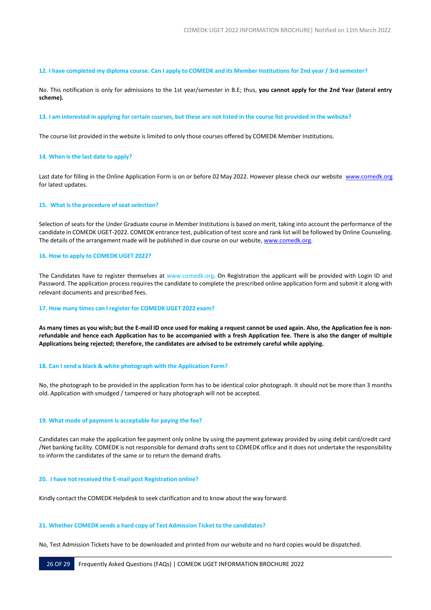#### 12. I have completed my diploma course. Can I apply to COMEDK and its Member Institutions for 2nd year / 3rd semester?

No. This notification is only for admissions to the 1st year/semester in B.E; thus, **you cannot apply for the 2nd Year (lateral entry scheme).**

#### 13. I am interested in applying for certain courses, but these are not listed in the course list provided in the website?

The course list provided in the website is limited to only those courses offered by COMEDK Member Institutions.

## **14. When is the last date to apply?**

Last date for filling in the Online Application Form is on or before 02 May 2022. However please check our website [www.comedk.org](http://www.comedk.org/) for latest updates.

## **15. What is the procedure of seat selection?**

Selection of seats for the Under Graduate course in Member Institutions is based on merit, taking into account the performance of the candidate in COMEDK UGET-2022. COMEDK entrance test, publication of test score and rank list will be followed by Online Counseling. The details of the arrangement made will be published in due course on our website[, www.comedk.org.](http://www.comedk.org/)

#### **16. How to apply to COMEDK UGET 2022?**

The Candidates have to register themselves at [www.comedk.org. O](http://www.comedk.org/)n Registration the applicant will be provided with Login ID and Password. The application process requires the candidate to complete the prescribed online application form and submit it along with relevant documents and prescribed fees.

#### **17. How many times can I register for COMEDK UGET 2022 exam?**

As many times as you wish; but the E-mail ID once used for making a request cannot be used again. Also, the Application fee is non**refundable and hence each Application has to be accompanied with a fresh Application fee. There is also the danger of multiple Applications being rejected; therefore, the candidates are advised to be extremely careful while applying.**

#### **18. Can I send a black & white photograph with the Application Form?**

No, the photograph to be provided in the application form has to be identical color photograph. It should not be more than 3 months old. Application with smudged / tampered or hazy photograph will not be accepted.

#### **19. What mode of payment is acceptable for paying the fee?**

Candidates can make the application fee payment only online by using the payment gateway provided by using debit card/credit card /Net banking facility. COMEDK is not responsible for demand drafts sent to COMEDK office and it does not undertake the responsibility to inform the candidates of the same or to return the demand drafts.

#### **20. I have not received the E-mail post Registration online?**

Kindly contact the COMEDK Helpdesk to seek clarification and to know about the way forward.

#### **21. Whether COMEDK sends a hard copy of Test Admission Ticket to the candidates?**

No, Test Admission Tickets have to be downloaded and printed from our website and no hard copies would be dispatched.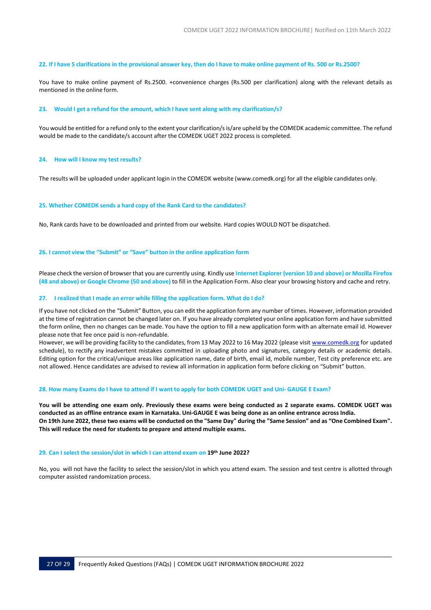#### 22. If I have 5 clarifications in the provisional answer key, then do I have to make online payment of Rs. 500 or Rs.2500?

You have to make online payment of Rs.2500. +convenience charges (Rs.500 per clarification) along with the relevant details as mentioned in the online form.

#### **23. Would I get a refund for the amount, which I have sent along with my clarification/s?**

You would be entitled for a refund only to the extent your clarification/s is/are upheld by the COMEDK academic committee. The refund would be made to the candidate/s account after the COMEDK UGET 2022 process is completed.

#### **24. How will I know my test results?**

The results will be uploaded under applicant login in the COMEDK website [\(www.comedk.org](http://www.comedk.org/)) for all the eligible candidates only.

## **25. Whether COMEDK sends a hard copy of the Rank Card to the candidates?**

No, Rank cards have to be downloaded and printed from our website. Hard copies WOULD NOT be dispatched.

## **26. I cannot view the "Submit" or "Save" button in the online application form**

Please check the version of browser that you are currently using. Kindly use **Internet Explorer (version 10 and above) or Mozilla Firefox (48 and above) or Google Chrome (50 and above)** to fill in the Application Form. Also clear your browsing history and cache and retry.

#### **27. I realized that I made an error while filling the application form. What do I do?**

If you have not clicked on the "Submit" Button, you can edit the application form any number of times. However, information provided at the time of registration cannot be changed later on. If you have already completed your online application form and have submitted the form online, then no changes can be made. You have the option to fill a new application form with an alternate email id. However please note that fee once paid is non-refundable.

However, we will be providing facility to the candidates, from 13 May 2022 to 16 May 2022 (please visi[t www.comedk.org](http://www.comedk.org/) for updated schedule), to rectify any inadvertent mistakes committed in uploading photo and signatures, category details or academic details. Editing option for the critical/unique areas like application name, date of birth, email id, mobile number, Test city preference etc. are not allowed. Hence candidates are advised to review all information in application form before clicking on "Submit" button.

#### 28. How many Exams do I have to attend if I want to apply for both COMEDK UGET and Uni- GAUGE E Exam?

**You will be attending one exam only. Previously these exams were being conducted as 2 separate exams. COMEDK UGET was** conducted as an offline entrance exam in Karnataka. Uni-GAUGE E was being done as an online entrance across India. On 19th June 2022, these two exams will be conducted on the "Same Day" during the "Same Session" and as "One Combined Exam". **This will reduce the need for students to prepare and attend multiple exams.**

#### **29. Can I select the session/slot in which I can attend exam on 19th June 2022?**

No, you will not have the facility to select the session/slot in which you attend exam. The session and test centre is allotted through computer assisted randomization process.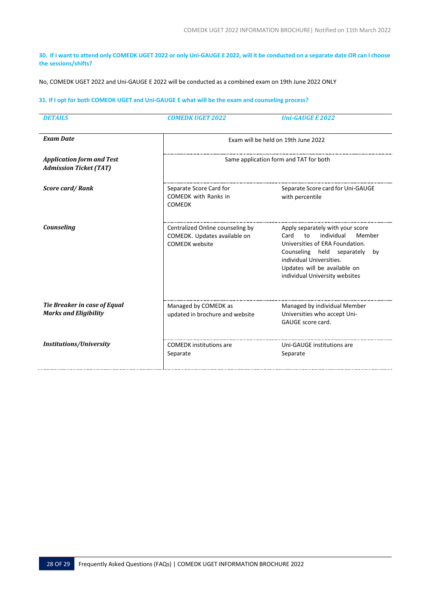30. If I want to attend only COMEDK UGET 2022 or only Uni-GAUGE E 2022, will it be conducted on a separate date OR can I choose **the sessions/shifts?**

No, COMEDK UGET 2022 and Uni-GAUGE E 2022 will be conducted as a combined exam on 19th June 2022 ONLY

## 31. If I opt for both COMEDK UGET and Uni-GAUGE E what will be the exam and counseling process?

| <b>DETAILS</b>                                                    | <b>COMEDK UGET 2022</b>                                                                   | <b>Uni-GAUGE E 2022</b>                                                                                                                                                                                                                     |
|-------------------------------------------------------------------|-------------------------------------------------------------------------------------------|---------------------------------------------------------------------------------------------------------------------------------------------------------------------------------------------------------------------------------------------|
| <b>Exam Date</b>                                                  | Exam will be held on 19th June 2022                                                       |                                                                                                                                                                                                                                             |
| <b>Application form and Test</b><br><b>Admission Ticket (TAT)</b> | Same application form and TAT for both                                                    |                                                                                                                                                                                                                                             |
| <b>Score card/Rank</b>                                            | Separate Score Card for<br><b>COMEDK</b> with Ranks in<br><b>COMEDK</b>                   | Separate Score card for Uni-GAUGE<br>with percentile                                                                                                                                                                                        |
| Counseling                                                        | Centralized Online counseling by<br>COMEDK. Updates available on<br><b>COMEDK</b> website | Apply separately with your score<br>individual<br>Member<br>Card<br>to<br>Universities of ERA Foundation.<br>Counseling held separately<br>by<br>individual Universities.<br>Updates will be available on<br>individual University websites |
| Tie Breaker in case of Equal<br><b>Marks and Eligibility</b>      | Managed by COMEDK as<br>updated in brochure and website                                   | Managed by individual Member<br>Universities who accept Uni-<br>GAUGE score card.                                                                                                                                                           |
| Institutions/University                                           | <b>COMEDK</b> institutions are<br>Separate                                                | Uni-GAUGE institutions are<br>Separate                                                                                                                                                                                                      |